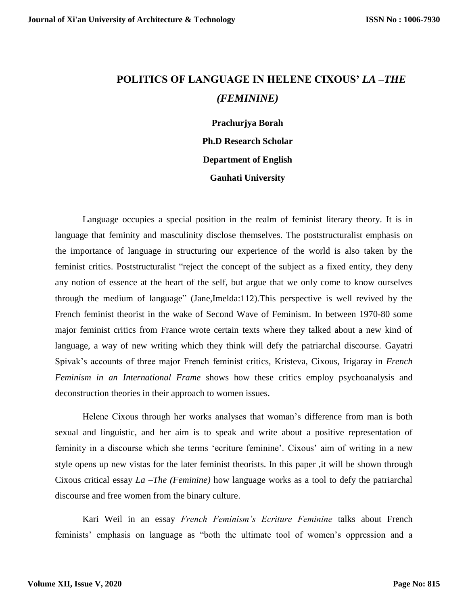## **POLITICS OF LANGUAGE IN HELENE CIXOUS'** *LA –THE (FEMININE)*

**Prachurjya Borah Ph.D Research Scholar Department of English Gauhati University**

Language occupies a special position in the realm of feminist literary theory. It is in language that feminity and masculinity disclose themselves. The poststructuralist emphasis on the importance of language in structuring our experience of the world is also taken by the feminist critics. Poststructuralist "reject the concept of the subject as a fixed entity, they deny any notion of essence at the heart of the self, but argue that we only come to know ourselves through the medium of language" (Jane,Imelda:112).This perspective is well revived by the French feminist theorist in the wake of Second Wave of Feminism. In between 1970-80 some major feminist critics from France wrote certain texts where they talked about a new kind of language, a way of new writing which they think will defy the patriarchal discourse. Gayatri Spivak's accounts of three major French feminist critics, Kristeva, Cixous, Irigaray in *French Feminism in an International Frame* shows how these critics employ psychoanalysis and deconstruction theories in their approach to women issues.

Helene Cixous through her works analyses that woman's difference from man is both sexual and linguistic, and her aim is to speak and write about a positive representation of feminity in a discourse which she terms 'ecriture feminine'. Cixous' aim of writing in a new style opens up new vistas for the later feminist theorists. In this paper ,it will be shown through Cixous critical essay *La –The (Feminine)* how language works as a tool to defy the patriarchal discourse and free women from the binary culture.

Kari Weil in an essay *French Feminism's Ecriture Feminine* talks about French feminists' emphasis on language as "both the ultimate tool of women's oppression and a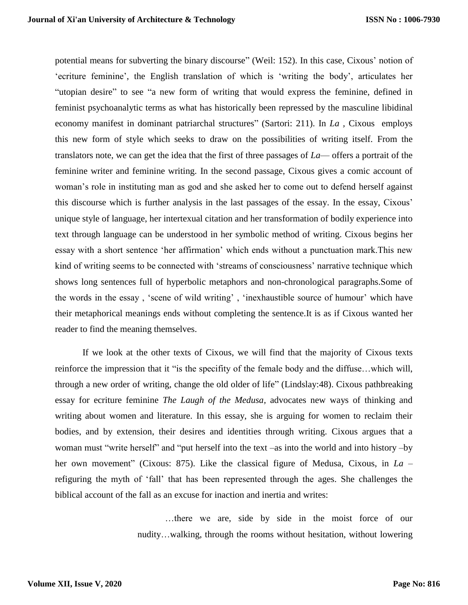potential means for subverting the binary discourse" (Weil: 152). In this case, Cixous' notion of 'ecriture feminine', the English translation of which is 'writing the body', articulates her "utopian desire" to see "a new form of writing that would express the feminine, defined in feminist psychoanalytic terms as what has historically been repressed by the masculine libidinal economy manifest in dominant patriarchal structures" (Sartori: 211). In *La ,* Cixous employs this new form of style which seeks to draw on the possibilities of writing itself. From the translators note, we can get the idea that the first of three passages of *La*— offers a portrait of the feminine writer and feminine writing. In the second passage, Cixous gives a comic account of woman's role in instituting man as god and she asked her to come out to defend herself against this discourse which is further analysis in the last passages of the essay. In the essay, Cixous' unique style of language, her intertexual citation and her transformation of bodily experience into text through language can be understood in her symbolic method of writing. Cixous begins her essay with a short sentence 'her affirmation' which ends without a punctuation mark.This new kind of writing seems to be connected with 'streams of consciousness' narrative technique which shows long sentences full of hyperbolic metaphors and non-chronological paragraphs.Some of the words in the essay , 'scene of wild writing' , 'inexhaustible source of humour' which have their metaphorical meanings ends without completing the sentence.It is as if Cixous wanted her reader to find the meaning themselves.

If we look at the other texts of Cixous, we will find that the majority of Cixous texts reinforce the impression that it "is the specifity of the female body and the diffuse…which will, through a new order of writing, change the old older of life" (Lindslay:48). Cixous pathbreaking essay for ecriture feminine *The Laugh of the Medusa,* advocates new ways of thinking and writing about women and literature. In this essay, she is arguing for women to reclaim their bodies, and by extension, their desires and identities through writing. Cixous argues that a woman must "write herself" and "put herself into the text –as into the world and into history –by her own movement" (Cixous: 875). Like the classical figure of Medusa, Cixous, in *La* – refiguring the myth of 'fall' that has been represented through the ages. She challenges the biblical account of the fall as an excuse for inaction and inertia and writes:

> …there we are, side by side in the moist force of our nudity…walking, through the rooms without hesitation, without lowering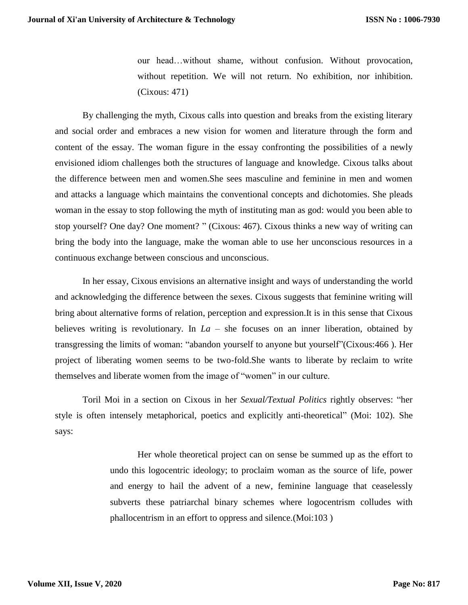our head…without shame, without confusion. Without provocation, without repetition. We will not return. No exhibition, nor inhibition. (Cixous: 471)

By challenging the myth, Cixous calls into question and breaks from the existing literary and social order and embraces a new vision for women and literature through the form and content of the essay. The woman figure in the essay confronting the possibilities of a newly envisioned idiom challenges both the structures of language and knowledge. Cixous talks about the difference between men and women.She sees masculine and feminine in men and women and attacks a language which maintains the conventional concepts and dichotomies. She pleads woman in the essay to stop following the myth of instituting man as god: would you been able to stop yourself? One day? One moment? " (Cixous: 467). Cixous thinks a new way of writing can bring the body into the language, make the woman able to use her unconscious resources in a continuous exchange between conscious and unconscious.

In her essay, Cixous envisions an alternative insight and ways of understanding the world and acknowledging the difference between the sexes. Cixous suggests that feminine writing will bring about alternative forms of relation, perception and expression.It is in this sense that Cixous believes writing is revolutionary. In *La* – she focuses on an inner liberation, obtained by transgressing the limits of woman: "abandon yourself to anyone but yourself"(Cixous:466 ). Her project of liberating women seems to be two-fold.She wants to liberate by reclaim to write themselves and liberate women from the image of "women" in our culture.

Toril Moi in a section on Cixous in her *Sexual/Textual Politics* rightly observes: "her style is often intensely metaphorical, poetics and explicitly anti-theoretical" (Moi: 102). She says:

> Her whole theoretical project can on sense be summed up as the effort to undo this logocentric ideology; to proclaim woman as the source of life, power and energy to hail the advent of a new, feminine language that ceaselessly subverts these patriarchal binary schemes where logocentrism colludes with phallocentrism in an effort to oppress and silence.(Moi:103 )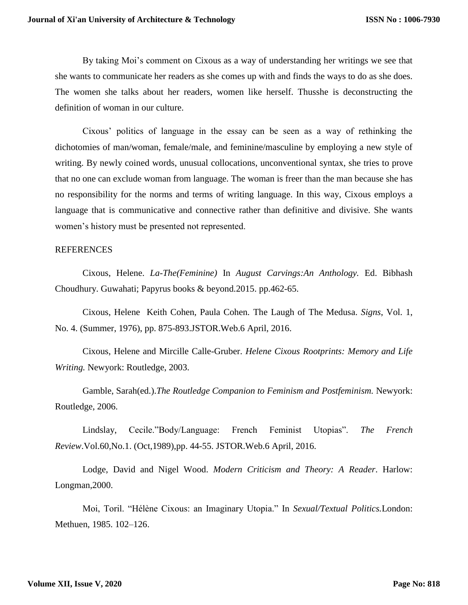By taking Moi's comment on Cixous as a way of understanding her writings we see that she wants to communicate her readers as she comes up with and finds the ways to do as she does. The women she talks about her readers, women like herself. Thusshe is deconstructing the definition of woman in our culture.

Cixous' politics of language in the essay can be seen as a way of rethinking the dichotomies of man/woman, female/male, and feminine/masculine by employing a new style of writing. By newly coined words, unusual collocations, unconventional syntax, she tries to prove that no one can exclude woman from language. The woman is freer than the man because she has no responsibility for the norms and terms of writing language. In this way, Cixous employs a language that is communicative and connective rather than definitive and divisive. She wants women's history must be presented not represented.

## **REFERENCES**

Cixous, Helene. *La-The(Feminine)* In *August Carvings:An Anthology.* Ed. Bibhash Choudhury. Guwahati; Papyrus books & beyond.2015. pp.462-65.

Cixous, Helene Keith Cohen, Paula Cohen*.* The Laugh of The Medusa. *Signs*, Vol. 1, No. 4. (Summer, 1976), pp. 875-893.JSTOR.Web.6 April, 2016.

Cixous, Helene and Mircille Calle-Gruber. *Helene Cixous Rootprints: Memory and Life Writing.* Newyork: Routledge, 2003.

Gamble, Sarah(ed.).*The Routledge Companion to Feminism and Postfeminism.* Newyork: Routledge, 2006.

Lindslay, Cecile."Body/Language: French Feminist Utopias". *The French Review*.Vol.60,No.1. (Oct,1989),pp. 44-55. JSTOR.Web.6 April, 2016.

Lodge, David and Nigel Wood. *Modern Criticism and Theory: A Reader*. Harlow: Longman,2000.

Moi, Toril. "Hélène Cixous: an Imaginary Utopia." In *Sexual/Textual Politics.*London: Methuen, 1985. 102–126.